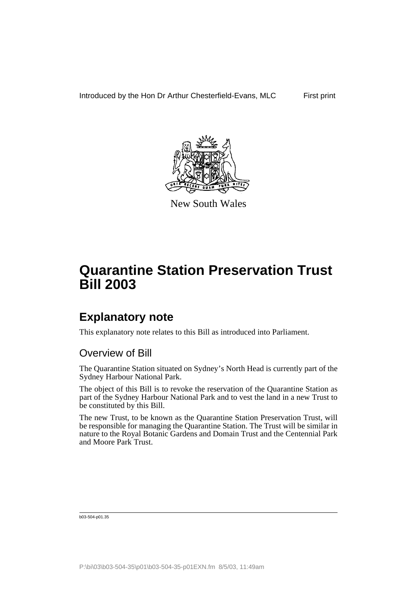

New South Wales

# **Explanatory note**

This explanatory note relates to this Bill as introduced into Parliament.

# Overview of Bill

The Quarantine Station situated on Sydney's North Head is currently part of the Sydney Harbour National Park.

The object of this Bill is to revoke the reservation of the Quarantine Station as part of the Sydney Harbour National Park and to vest the land in a new Trust to be constituted by this Bill.

The new Trust, to be known as the Quarantine Station Preservation Trust, will be responsible for managing the Quarantine Station. The Trust will be similar in nature to the Royal Botanic Gardens and Domain Trust and the Centennial Park and Moore Park Trust.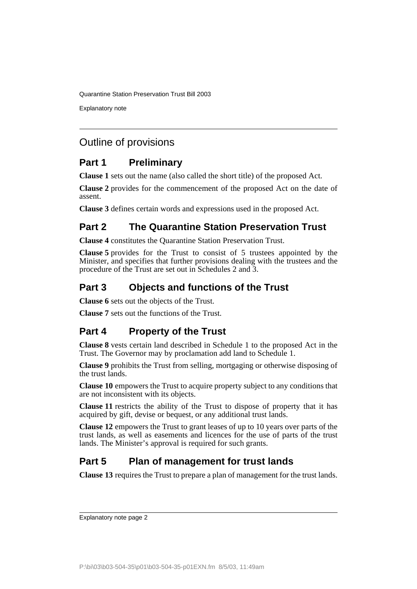Explanatory note

# Outline of provisions

# **Part 1 Preliminary**

**Clause 1** sets out the name (also called the short title) of the proposed Act.

**Clause 2** provides for the commencement of the proposed Act on the date of assent.

**Clause 3** defines certain words and expressions used in the proposed Act.

# **Part 2 The Quarantine Station Preservation Trust**

**Clause 4** constitutes the Quarantine Station Preservation Trust.

**Clause 5** provides for the Trust to consist of 5 trustees appointed by the Minister, and specifies that further provisions dealing with the trustees and the procedure of the Trust are set out in Schedules 2 and 3.

# **Part 3 Objects and functions of the Trust**

**Clause 6** sets out the objects of the Trust.

**Clause 7** sets out the functions of the Trust.

# **Part 4 Property of the Trust**

**Clause 8** vests certain land described in Schedule 1 to the proposed Act in the Trust. The Governor may by proclamation add land to Schedule 1.

**Clause 9** prohibits the Trust from selling, mortgaging or otherwise disposing of the trust lands.

**Clause 10** empowers the Trust to acquire property subject to any conditions that are not inconsistent with its objects.

**Clause 11** restricts the ability of the Trust to dispose of property that it has acquired by gift, devise or bequest, or any additional trust lands.

**Clause 12** empowers the Trust to grant leases of up to 10 years over parts of the trust lands, as well as easements and licences for the use of parts of the trust lands. The Minister's approval is required for such grants.

# **Part 5 Plan of management for trust lands**

**Clause 13** requires the Trust to prepare a plan of management for the trust lands.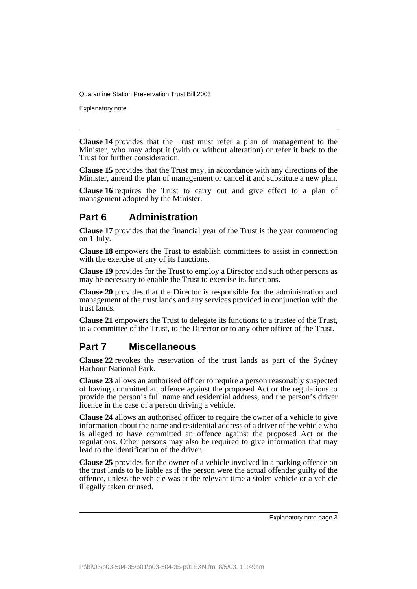Explanatory note

**Clause 14** provides that the Trust must refer a plan of management to the Minister, who may adopt it (with or without alteration) or refer it back to the Trust for further consideration.

**Clause 15** provides that the Trust may, in accordance with any directions of the Minister, amend the plan of management or cancel it and substitute a new plan.

**Clause 16** requires the Trust to carry out and give effect to a plan of management adopted by the Minister.

## **Part 6 Administration**

**Clause 17** provides that the financial year of the Trust is the year commencing on 1 July.

**Clause 18** empowers the Trust to establish committees to assist in connection with the exercise of any of its functions.

**Clause 19** provides for the Trust to employ a Director and such other persons as may be necessary to enable the Trust to exercise its functions.

**Clause 20** provides that the Director is responsible for the administration and management of the trust lands and any services provided in conjunction with the trust lands.

**Clause 21** empowers the Trust to delegate its functions to a trustee of the Trust, to a committee of the Trust, to the Director or to any other officer of the Trust.

### **Part 7 Miscellaneous**

**Clause 22** revokes the reservation of the trust lands as part of the Sydney Harbour National Park.

**Clause 23** allows an authorised officer to require a person reasonably suspected of having committed an offence against the proposed Act or the regulations to provide the person's full name and residential address, and the person's driver licence in the case of a person driving a vehicle.

**Clause 24** allows an authorised officer to require the owner of a vehicle to give information about the name and residential address of a driver of the vehicle who is alleged to have committed an offence against the proposed Act or the regulations. Other persons may also be required to give information that may lead to the identification of the driver.

**Clause 25** provides for the owner of a vehicle involved in a parking offence on the trust lands to be liable as if the person were the actual offender guilty of the offence, unless the vehicle was at the relevant time a stolen vehicle or a vehicle illegally taken or used.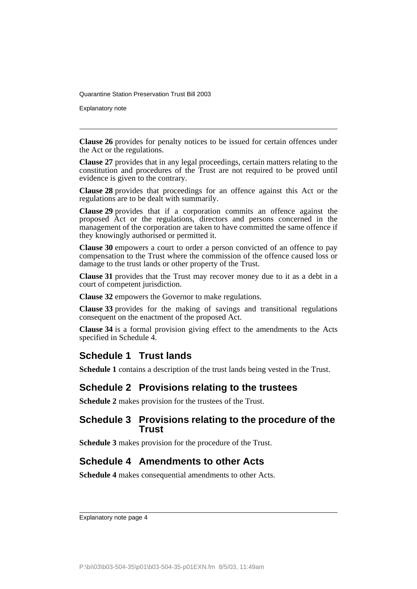Explanatory note

**Clause 26** provides for penalty notices to be issued for certain offences under the Act or the regulations.

**Clause 27** provides that in any legal proceedings, certain matters relating to the constitution and procedures of the Trust are not required to be proved until evidence is given to the contrary.

**Clause 28** provides that proceedings for an offence against this Act or the regulations are to be dealt with summarily.

**Clause 29** provides that if a corporation commits an offence against the proposed Act or the regulations, directors and persons concerned in the management of the corporation are taken to have committed the same offence if they knowingly authorised or permitted it.

**Clause 30** empowers a court to order a person convicted of an offence to pay compensation to the Trust where the commission of the offence caused loss or damage to the trust lands or other property of the Trust.

**Clause 31** provides that the Trust may recover money due to it as a debt in a court of competent jurisdiction.

**Clause 32** empowers the Governor to make regulations.

**Clause 33** provides for the making of savings and transitional regulations consequent on the enactment of the proposed Act.

**Clause 34** is a formal provision giving effect to the amendments to the Acts specified in Schedule 4.

### **Schedule 1 Trust lands**

**Schedule 1** contains a description of the trust lands being vested in the Trust.

## **Schedule 2 Provisions relating to the trustees**

**Schedule 2** makes provision for the trustees of the Trust.

#### **Schedule 3 Provisions relating to the procedure of the Trust**

**Schedule 3** makes provision for the procedure of the Trust.

## **Schedule 4 Amendments to other Acts**

**Schedule 4** makes consequential amendments to other Acts.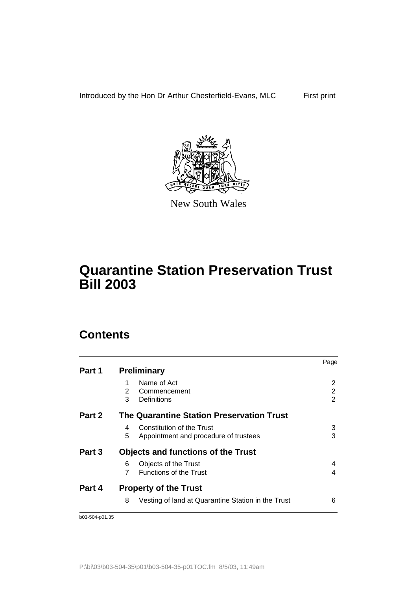

New South Wales

# **Quarantine Station Preservation Trust Bill 2003**

# **Contents**

|        |                                                         | Page |
|--------|---------------------------------------------------------|------|
| Part 1 | <b>Preliminary</b>                                      |      |
|        | Name of Act                                             | 2    |
|        | 2<br>Commencement                                       | 2    |
|        | 3<br>Definitions                                        | 2    |
| Part 2 | The Quarantine Station Preservation Trust               |      |
|        | Constitution of the Trust<br>4                          | 3    |
|        | 5<br>Appointment and procedure of trustees              | 3    |
| Part 3 | <b>Objects and functions of the Trust</b>               |      |
|        | Objects of the Trust<br>6                               | 4    |
|        | <b>Functions of the Trust</b>                           | 4    |
| Part 4 | <b>Property of the Trust</b>                            |      |
|        | Vesting of land at Quarantine Station in the Trust<br>8 | 6    |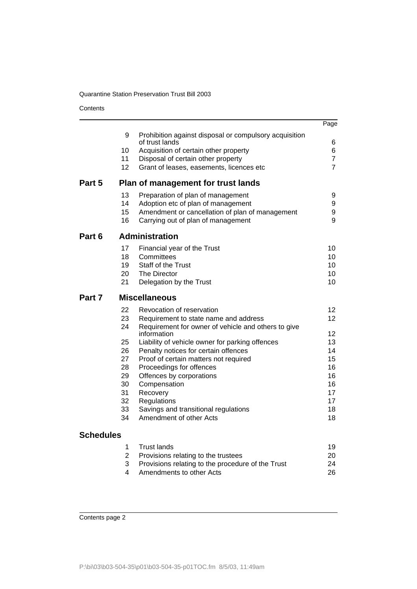**Contents** 

|                  |          |                                                                             | Page           |
|------------------|----------|-----------------------------------------------------------------------------|----------------|
|                  | 9        | Prohibition against disposal or compulsory acquisition                      |                |
|                  |          | of trust lands                                                              | 6<br>6         |
|                  | 10<br>11 | Acquisition of certain other property<br>Disposal of certain other property | $\overline{7}$ |
|                  | 12       | Grant of leases, easements, licences etc                                    | $\overline{7}$ |
| Part 5           |          | Plan of management for trust lands                                          |                |
|                  | 13       | Preparation of plan of management                                           | 9              |
|                  | 14       | Adoption etc of plan of management                                          | 9              |
|                  | 15       | Amendment or cancellation of plan of management                             | 9              |
|                  | 16       | Carrying out of plan of management                                          | 9              |
| Part 6           |          | <b>Administration</b>                                                       |                |
|                  | 17       | Financial year of the Trust                                                 | 10             |
|                  | 18       | Committees                                                                  | 10             |
|                  | 19       | Staff of the Trust                                                          | 10             |
|                  | 20       | The Director                                                                | 10             |
|                  | 21       | Delegation by the Trust                                                     | 10             |
| Part 7           |          | <b>Miscellaneous</b>                                                        |                |
|                  | 22       | Revocation of reservation                                                   | 12             |
|                  | 23       | Requirement to state name and address                                       | 12             |
|                  | 24       | Requirement for owner of vehicle and others to give                         |                |
|                  |          | information                                                                 | 12             |
|                  | 25       | Liability of vehicle owner for parking offences                             | 13             |
|                  | 26       | Penalty notices for certain offences                                        | 14             |
|                  | 27       | Proof of certain matters not required                                       | 15             |
|                  | 28<br>29 | Proceedings for offences                                                    | 16<br>16       |
|                  | 30       | Offences by corporations                                                    | 16             |
|                  | 31       | Compensation<br>Recovery                                                    | 17             |
|                  | 32       | Regulations                                                                 | 17             |
|                  | 33       | Savings and transitional regulations                                        | 18             |
|                  | 34       | Amendment of other Acts                                                     | 18             |
| <b>Schedules</b> |          |                                                                             |                |

| 1 Trust lands                                       | 19 |
|-----------------------------------------------------|----|
| 2 Provisions relating to the trustees               | 20 |
| 3 Provisions relating to the procedure of the Trust | 24 |
| 4  Amendments to other Acts                         | 26 |
|                                                     |    |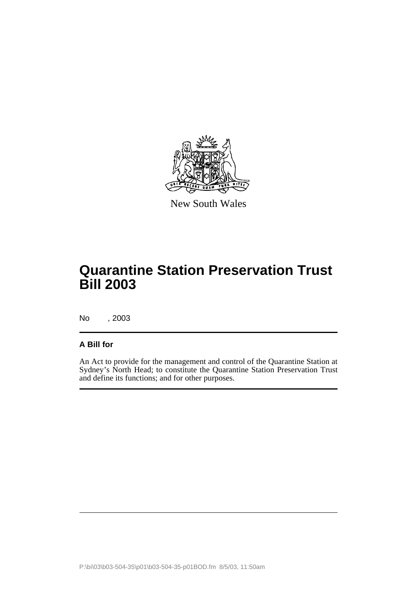

New South Wales

# **Quarantine Station Preservation Trust Bill 2003**

No , 2003

#### **A Bill for**

An Act to provide for the management and control of the Quarantine Station at Sydney's North Head; to constitute the Quarantine Station Preservation Trust and define its functions; and for other purposes.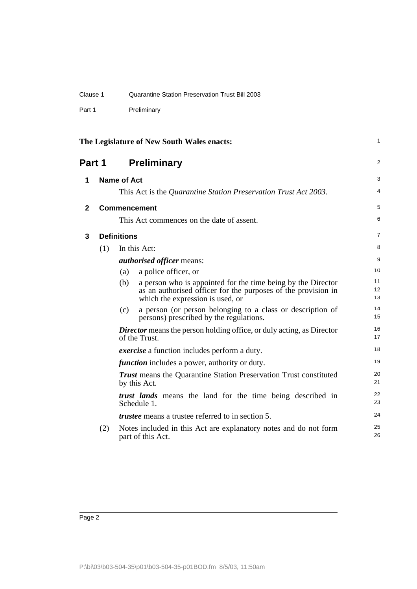| Clause 1<br>Quarantine Station Preservation Trust Bill 2003 |  |
|-------------------------------------------------------------|--|
|-------------------------------------------------------------|--|

Part 1 Preliminary

<span id="page-7-3"></span><span id="page-7-2"></span><span id="page-7-1"></span><span id="page-7-0"></span>

|              |     |                    | The Legislature of New South Wales enacts:                                                                                                                        | 1              |
|--------------|-----|--------------------|-------------------------------------------------------------------------------------------------------------------------------------------------------------------|----------------|
| Part 1       |     |                    | <b>Preliminary</b>                                                                                                                                                | $\overline{2}$ |
| 1            |     | <b>Name of Act</b> |                                                                                                                                                                   | 3              |
|              |     |                    | This Act is the Quarantine Station Preservation Trust Act 2003.                                                                                                   | 4              |
| $\mathbf{2}$ |     |                    | <b>Commencement</b>                                                                                                                                               | 5              |
|              |     |                    | This Act commences on the date of assent.                                                                                                                         | 6              |
| $\mathbf{3}$ |     | <b>Definitions</b> |                                                                                                                                                                   | 7              |
|              | (1) |                    | In this Act:                                                                                                                                                      | 8              |
|              |     |                    | <i>authorised officer means:</i>                                                                                                                                  | 9              |
|              |     | (a)                | a police officer, or                                                                                                                                              | 10             |
|              |     | (b)                | a person who is appointed for the time being by the Director<br>as an authorised officer for the purposes of the provision in<br>which the expression is used, or | 11<br>12<br>13 |
|              |     | (c)                | a person (or person belonging to a class or description of<br>persons) prescribed by the regulations.                                                             | 14<br>15       |
|              |     |                    | <b>Director</b> means the person holding office, or duly acting, as Director<br>of the Trust.                                                                     | 16<br>17       |
|              |     |                    | <i>exercise</i> a function includes perform a duty.                                                                                                               | 18             |
|              |     |                    | <i>function</i> includes a power, authority or duty.                                                                                                              | 19             |
|              |     |                    | <b>Trust</b> means the Quarantine Station Preservation Trust constituted<br>by this Act.                                                                          | 20<br>21       |
|              |     |                    | <i>trust lands</i> means the land for the time being described in<br>Schedule 1.                                                                                  | 22<br>23       |
|              |     |                    | <i>trustee</i> means a trustee referred to in section 5.                                                                                                          | 24             |
|              | (2) |                    | Notes included in this Act are explanatory notes and do not form<br>part of this Act.                                                                             | 25<br>26       |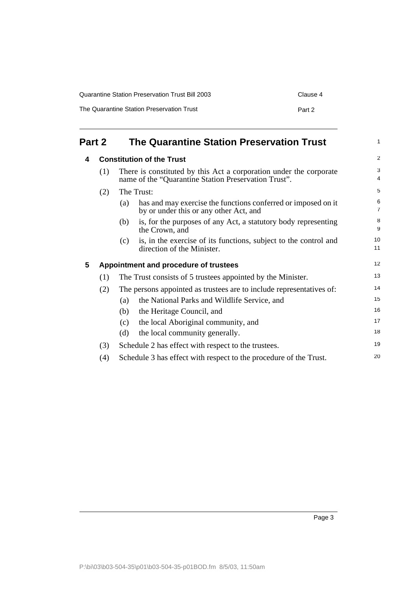| Quarantine Station Preservation Trust Bill 2003 | Clause 4 |
|-------------------------------------------------|----------|
| The Quarantine Station Preservation Trust       | Part 2   |

<span id="page-8-2"></span><span id="page-8-1"></span><span id="page-8-0"></span>

| Part 2 |     | <b>The Quarantine Station Preservation Trust</b>                                                                           |                     |  |
|--------|-----|----------------------------------------------------------------------------------------------------------------------------|---------------------|--|
| 4      |     | <b>Constitution of the Trust</b>                                                                                           |                     |  |
| (1)    |     | There is constituted by this Act a corporation under the corporate<br>name of the "Quarantine Station Preservation Trust". | 3<br>4              |  |
|        | (2) | The Trust:                                                                                                                 | 5                   |  |
|        |     | has and may exercise the functions conferred or imposed on it<br>(a)<br>by or under this or any other Act, and             | 6<br>$\overline{7}$ |  |
|        |     | is, for the purposes of any Act, a statutory body representing<br>(b)<br>the Crown, and                                    | 8<br>9              |  |
|        |     | is, in the exercise of its functions, subject to the control and<br>(c)<br>direction of the Minister.                      | 10<br>11            |  |
| 5      |     | Appointment and procedure of trustees                                                                                      | 12                  |  |
|        | (1) | The Trust consists of 5 trustees appointed by the Minister.                                                                | 13                  |  |
|        | (2) | The persons appointed as trustees are to include representatives of:                                                       | 14                  |  |
|        |     | the National Parks and Wildlife Service, and<br>(a)                                                                        | 15                  |  |
|        |     | (b)<br>the Heritage Council, and                                                                                           | 16                  |  |
|        |     | the local Aboriginal community, and<br>(c)                                                                                 | 17                  |  |
|        |     | the local community generally.<br>(d)                                                                                      | 18                  |  |
|        | (3) | Schedule 2 has effect with respect to the trustees.                                                                        | 19                  |  |
|        | (4) | Schedule 3 has effect with respect to the procedure of the Trust.                                                          | 20                  |  |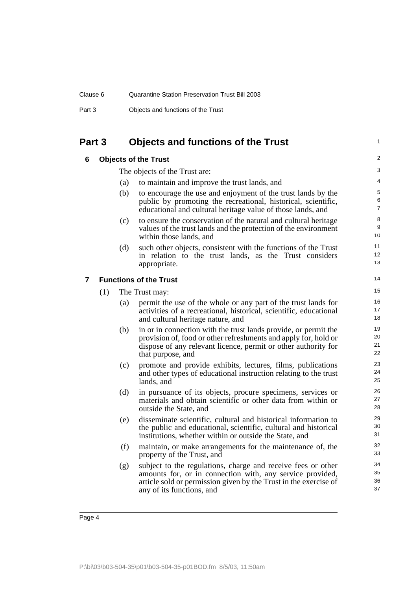## <span id="page-9-1"></span><span id="page-9-0"></span>**Part 3 Objects and functions of the Trust**

#### **6 Objects of the Trust**

The objects of the Trust are:

- (a) to maintain and improve the trust lands, and
- (b) to encourage the use and enjoyment of the trust lands by the public by promoting the recreational, historical, scientific, educational and cultural heritage value of those lands, and

1

- (c) to ensure the conservation of the natural and cultural heritage values of the trust lands and the protection of the environment within those lands, and
- (d) such other objects, consistent with the functions of the Trust in relation to the trust lands, as the Trust considers appropriate.

#### <span id="page-9-2"></span>**7 Functions of the Trust**

(1) The Trust may:

- (a) permit the use of the whole or any part of the trust lands for activities of a recreational, historical, scientific, educational and cultural heritage nature, and
- (b) in or in connection with the trust lands provide, or permit the provision of, food or other refreshments and apply for, hold or dispose of any relevant licence, permit or other authority for that purpose, and
- (c) promote and provide exhibits, lectures, films, publications and other types of educational instruction relating to the trust lands, and
- (d) in pursuance of its objects, procure specimens, services or materials and obtain scientific or other data from within or outside the State, and
- (e) disseminate scientific, cultural and historical information to the public and educational, scientific, cultural and historical institutions, whether within or outside the State, and
- (f) maintain, or make arrangements for the maintenance of, the property of the Trust, and
- (g) subject to the regulations, charge and receive fees or other amounts for, or in connection with, any service provided, article sold or permission given by the Trust in the exercise of any of its functions, and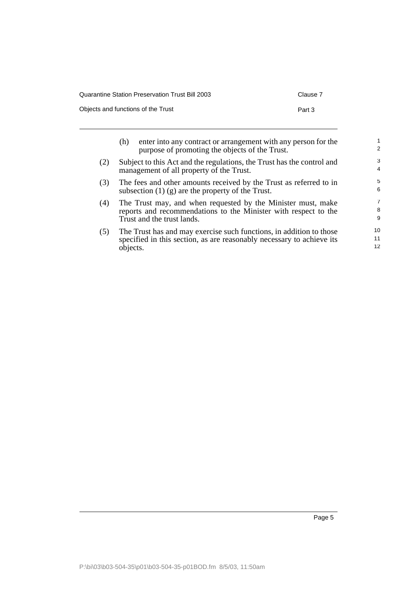| Quarantine Station Preservation Trust Bill 2003 | Clause 7 |
|-------------------------------------------------|----------|
| Objects and functions of the Trust              | Part 3   |

|     | (h)      | enter into any contract or arrangement with any person for the<br>purpose of promoting the objects of the Trust.                                              | $\overline{2}$      |
|-----|----------|---------------------------------------------------------------------------------------------------------------------------------------------------------------|---------------------|
| (2) |          | Subject to this Act and the regulations, the Trust has the control and<br>management of all property of the Trust.                                            | 3<br>$\overline{4}$ |
| (3) |          | The fees and other amounts received by the Trust as referred to in<br>subsection $(1)$ (g) are the property of the Trust.                                     | 5<br>6              |
| (4) |          | The Trust may, and when requested by the Minister must, make<br>reports and recommendations to the Minister with respect to the<br>Trust and the trust lands. | 7<br>8<br>9         |
| (5) | objects. | The Trust has and may exercise such functions, in addition to those<br>specified in this section, as are reasonably necessary to achieve its                  | 10<br>11<br>12      |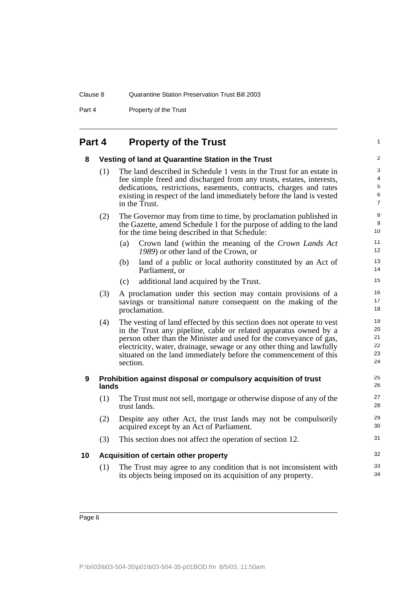Part 4 Property of the Trust

# **Part 4 Property of the Trust**

<span id="page-11-3"></span><span id="page-11-2"></span><span id="page-11-1"></span><span id="page-11-0"></span>

| Part 4 |       | <b>Property of the Trust</b>                                                                                                                                                                                                                                                                                                                                            | $\mathbf{1}$                                |
|--------|-------|-------------------------------------------------------------------------------------------------------------------------------------------------------------------------------------------------------------------------------------------------------------------------------------------------------------------------------------------------------------------------|---------------------------------------------|
| 8      |       | Vesting of land at Quarantine Station in the Trust                                                                                                                                                                                                                                                                                                                      | $\overline{2}$                              |
|        | (1)   | The land described in Schedule 1 vests in the Trust for an estate in<br>fee simple freed and discharged from any trusts, estates, interests,<br>dedications, restrictions, easements, contracts, charges and rates<br>existing in respect of the land immediately before the land is vested<br>in the Trust.                                                            | 3<br>4<br>$\sqrt{5}$<br>6<br>$\overline{7}$ |
|        | (2)   | The Governor may from time to time, by proclamation published in<br>the Gazette, amend Schedule 1 for the purpose of adding to the land<br>for the time being described in that Schedule:                                                                                                                                                                               | 8<br>9<br>10 <sup>1</sup>                   |
|        |       | (a)<br>Crown land (within the meaning of the Crown Lands Act<br>1989) or other land of the Crown, or                                                                                                                                                                                                                                                                    | 11<br>12 <sup>2</sup>                       |
|        |       | land of a public or local authority constituted by an Act of<br>(b)<br>Parliament, or                                                                                                                                                                                                                                                                                   | 13<br>14                                    |
|        |       | additional land acquired by the Trust.<br>(c)                                                                                                                                                                                                                                                                                                                           | 15                                          |
|        | (3)   | A proclamation under this section may contain provisions of a<br>savings or transitional nature consequent on the making of the<br>proclamation.                                                                                                                                                                                                                        | 16<br>17<br>18                              |
|        | (4)   | The vesting of land effected by this section does not operate to vest<br>in the Trust any pipeline, cable or related apparatus owned by a<br>person other than the Minister and used for the conveyance of gas,<br>electricity, water, drainage, sewage or any other thing and lawfully<br>situated on the land immediately before the commencement of this<br>section. | 19<br>20<br>21<br>22<br>23<br>24            |
| 9      | lands | Prohibition against disposal or compulsory acquisition of trust                                                                                                                                                                                                                                                                                                         | 25<br>26                                    |
|        | (1)   | The Trust must not sell, mortgage or otherwise dispose of any of the<br>trust lands.                                                                                                                                                                                                                                                                                    | 27<br>28                                    |
|        | (2)   | Despite any other Act, the trust lands may not be compulsorily<br>acquired except by an Act of Parliament.                                                                                                                                                                                                                                                              | 29<br>30                                    |
|        | (3)   | This section does not affect the operation of section 12.                                                                                                                                                                                                                                                                                                               | 31                                          |
| 10     |       | Acquisition of certain other property                                                                                                                                                                                                                                                                                                                                   | 32                                          |
|        | (1)   | The Trust may agree to any condition that is not inconsistent with<br>its objects being imposed on its acquisition of any property.                                                                                                                                                                                                                                     | 33<br>34                                    |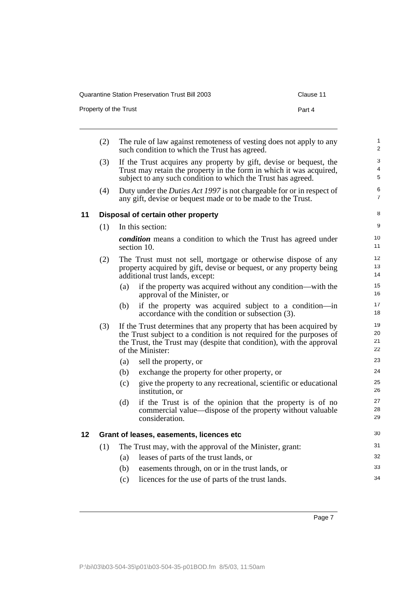| Quarantine Station Preservation Trust Bill 2003 | Clause 11 |
|-------------------------------------------------|-----------|
| Property of the Trust                           | Part 4    |

<span id="page-12-1"></span><span id="page-12-0"></span>

|    | (2) |     | The rule of law against remoteness of vesting does not apply to any<br>such condition to which the Trust has agreed.                                                                                                                    | 1<br>$\overline{c}$  |
|----|-----|-----|-----------------------------------------------------------------------------------------------------------------------------------------------------------------------------------------------------------------------------------------|----------------------|
|    | (3) |     | If the Trust acquires any property by gift, devise or bequest, the<br>Trust may retain the property in the form in which it was acquired,<br>subject to any such condition to which the Trust has agreed.                               | 3<br>4<br>5          |
|    | (4) |     | Duty under the <i>Duties Act 1997</i> is not chargeable for or in respect of<br>any gift, devise or bequest made or to be made to the Trust.                                                                                            | 6<br>7               |
| 11 |     |     | Disposal of certain other property                                                                                                                                                                                                      | 8                    |
|    | (1) |     | In this section:                                                                                                                                                                                                                        | 9                    |
|    |     |     | <i>condition</i> means a condition to which the Trust has agreed under<br>section 10.                                                                                                                                                   | 10<br>11             |
|    | (2) |     | The Trust must not sell, mortgage or otherwise dispose of any<br>property acquired by gift, devise or bequest, or any property being<br>additional trust lands, except:                                                                 | 12<br>13<br>14       |
|    |     | (a) | if the property was acquired without any condition—with the<br>approval of the Minister, or                                                                                                                                             | 15<br>16             |
|    |     | (b) | if the property was acquired subject to a condition-in<br>accordance with the condition or subsection (3).                                                                                                                              | 17<br>18             |
|    | (3) |     | If the Trust determines that any property that has been acquired by<br>the Trust subject to a condition is not required for the purposes of<br>the Trust, the Trust may (despite that condition), with the approval<br>of the Minister: | 19<br>20<br>21<br>22 |
|    |     | (a) | sell the property, or                                                                                                                                                                                                                   | 23                   |
|    |     | (b) | exchange the property for other property, or                                                                                                                                                                                            | 24                   |
|    |     | (c) | give the property to any recreational, scientific or educational<br>institution, or                                                                                                                                                     | 25<br>26             |
|    |     | (d) | if the Trust is of the opinion that the property is of no<br>commercial value—dispose of the property without valuable<br>consideration.                                                                                                | 27<br>28<br>29       |
| 12 |     |     | Grant of leases, easements, licences etc                                                                                                                                                                                                | 30                   |
|    | (1) |     | The Trust may, with the approval of the Minister, grant:                                                                                                                                                                                | 31                   |
|    |     | (a) | leases of parts of the trust lands, or                                                                                                                                                                                                  | 32                   |
|    |     | (b) | easements through, on or in the trust lands, or                                                                                                                                                                                         | 33                   |
|    |     | (c) | licences for the use of parts of the trust lands.                                                                                                                                                                                       | 34                   |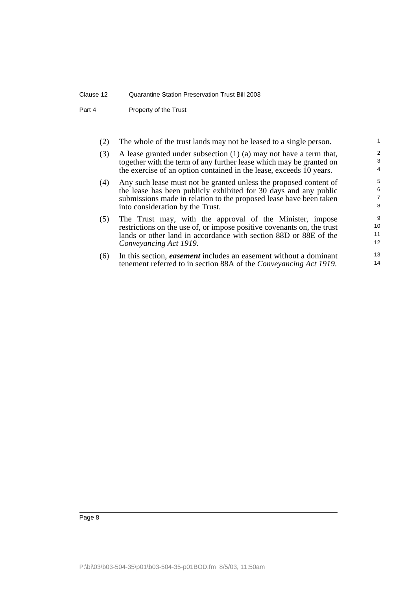Part 4 Property of the Trust

(2) The whole of the trust lands may not be leased to a single person.

| (3) | A lease granted under subsection $(1)$ $(a)$ may not have a term that, |
|-----|------------------------------------------------------------------------|
|     | together with the term of any further lease which may be granted on    |
|     | the exercise of an option contained in the lease, exceeds 10 years.    |

- (4) Any such lease must not be granted unless the proposed content of the lease has been publicly exhibited for 30 days and any public submissions made in relation to the proposed lease have been taken into consideration by the Trust.
- (5) The Trust may, with the approval of the Minister, impose restrictions on the use of, or impose positive covenants on, the trust lands or other land in accordance with section 88D or 88E of the *Conveyancing Act 1919*.
- (6) In this section, *easement* includes an easement without a dominant tenement referred to in section 88A of the *Conveyancing Act 1919*.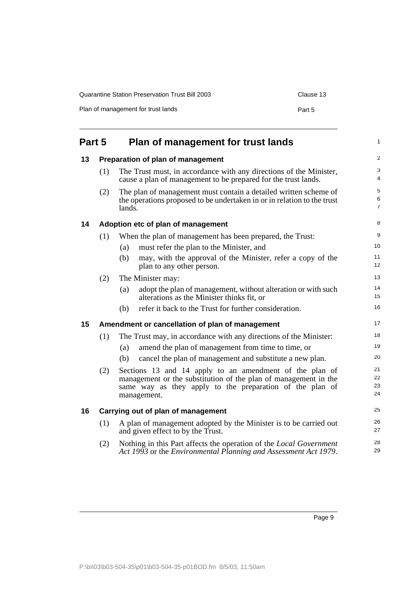| Quarantine Station Preservation Trust Bill 2003 | Clause 13 |
|-------------------------------------------------|-----------|
| Plan of management for trust lands              | Part 5    |

<span id="page-14-4"></span><span id="page-14-3"></span><span id="page-14-2"></span><span id="page-14-1"></span><span id="page-14-0"></span>

| Part 5 |     | Plan of management for trust lands                                                                                                                                                                    | 1                        |  |
|--------|-----|-------------------------------------------------------------------------------------------------------------------------------------------------------------------------------------------------------|--------------------------|--|
| 13     |     | Preparation of plan of management                                                                                                                                                                     |                          |  |
|        | (1) | The Trust must, in accordance with any directions of the Minister,<br>cause a plan of management to be prepared for the trust lands.                                                                  | 3<br>4                   |  |
|        | (2) | The plan of management must contain a detailed written scheme of<br>the operations proposed to be undertaken in or in relation to the trust<br>lands.                                                 | 5<br>6<br>$\overline{7}$ |  |
| 14     |     | Adoption etc of plan of management                                                                                                                                                                    | 8                        |  |
|        | (1) | When the plan of management has been prepared, the Trust:                                                                                                                                             | 9                        |  |
|        |     | must refer the plan to the Minister, and<br>(a)                                                                                                                                                       | 10                       |  |
|        |     | may, with the approval of the Minister, refer a copy of the<br>(b)<br>plan to any other person.                                                                                                       | 11<br>12                 |  |
|        | (2) | The Minister may:                                                                                                                                                                                     | 13                       |  |
|        |     | adopt the plan of management, without alteration or with such<br>(a)<br>alterations as the Minister thinks fit, or                                                                                    | 14<br>15                 |  |
|        |     | refer it back to the Trust for further consideration.<br>(b)                                                                                                                                          | 16                       |  |
| 15     |     | Amendment or cancellation of plan of management                                                                                                                                                       | 17                       |  |
|        | (1) | The Trust may, in accordance with any directions of the Minister:                                                                                                                                     | 18                       |  |
|        |     | amend the plan of management from time to time, or<br>(a)                                                                                                                                             | 19                       |  |
|        |     | cancel the plan of management and substitute a new plan.<br>(b)                                                                                                                                       | 20                       |  |
|        | (2) | Sections 13 and 14 apply to an amendment of the plan of<br>management or the substitution of the plan of management in the<br>same way as they apply to the preparation of the plan of<br>management. | 21<br>22<br>23<br>24     |  |
| 16     |     | Carrying out of plan of management                                                                                                                                                                    | 25                       |  |
|        | (1) | A plan of management adopted by the Minister is to be carried out<br>and given effect to by the Trust.                                                                                                | 26<br>27                 |  |
|        | (2) | Nothing in this Part affects the operation of the <i>Local Government</i><br>Act 1993 or the Environmental Planning and Assessment Act 1979.                                                          | 28<br>29                 |  |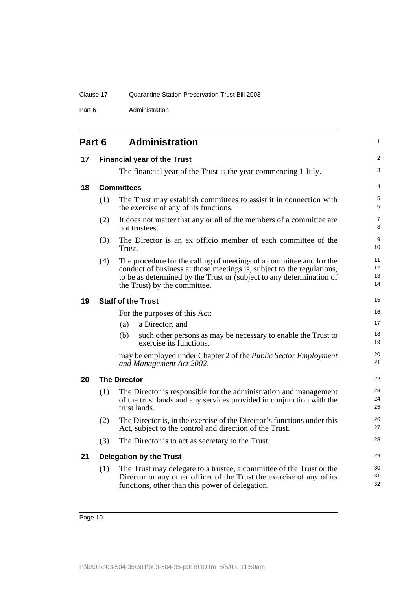Part 6 Administration

<span id="page-15-5"></span><span id="page-15-4"></span><span id="page-15-3"></span><span id="page-15-2"></span><span id="page-15-1"></span><span id="page-15-0"></span>

| Part 6 |     | <b>Administration</b>                                                                                                                                                                                                                                 | 1                    |
|--------|-----|-------------------------------------------------------------------------------------------------------------------------------------------------------------------------------------------------------------------------------------------------------|----------------------|
| 17     |     | <b>Financial year of the Trust</b>                                                                                                                                                                                                                    | 2                    |
|        |     | The financial year of the Trust is the year commencing 1 July.                                                                                                                                                                                        | 3                    |
| 18     |     | <b>Committees</b>                                                                                                                                                                                                                                     | 4                    |
|        | (1) | The Trust may establish committees to assist it in connection with<br>the exercise of any of its functions.                                                                                                                                           | 5<br>6               |
|        | (2) | It does not matter that any or all of the members of a committee are<br>not trustees.                                                                                                                                                                 | 7<br>8               |
|        | (3) | The Director is an ex officio member of each committee of the<br>Trust.                                                                                                                                                                               | 9<br>10              |
|        | (4) | The procedure for the calling of meetings of a committee and for the<br>conduct of business at those meetings is, subject to the regulations,<br>to be as determined by the Trust or (subject to any determination of<br>the Trust) by the committee. | 11<br>12<br>13<br>14 |
| 19     |     | <b>Staff of the Trust</b>                                                                                                                                                                                                                             | 15                   |
|        |     | For the purposes of this Act:                                                                                                                                                                                                                         | 16                   |
|        |     | a Director, and<br>(a)                                                                                                                                                                                                                                | 17                   |
|        |     | (b)<br>such other persons as may be necessary to enable the Trust to<br>exercise its functions,                                                                                                                                                       | 18<br>19             |
|        |     | may be employed under Chapter 2 of the Public Sector Employment<br>and Management Act 2002.                                                                                                                                                           | 20<br>21             |
| 20     |     | <b>The Director</b>                                                                                                                                                                                                                                   | 22                   |
|        | (1) | The Director is responsible for the administration and management<br>of the trust lands and any services provided in conjunction with the<br>trust lands.                                                                                             | 23<br>24<br>25       |
|        | (2) | The Director is, in the exercise of the Director's functions under this<br>Act, subject to the control and direction of the Trust.                                                                                                                    | 26<br>27             |
|        | (3) | The Director is to act as secretary to the Trust.                                                                                                                                                                                                     | 28                   |
| 21     |     | <b>Delegation by the Trust</b>                                                                                                                                                                                                                        | 29                   |
|        | (1) | The Trust may delegate to a trustee, a committee of the Trust or the<br>Director or any other officer of the Trust the exercise of any of its<br>functions, other than this power of delegation.                                                      | 30<br>31<br>32       |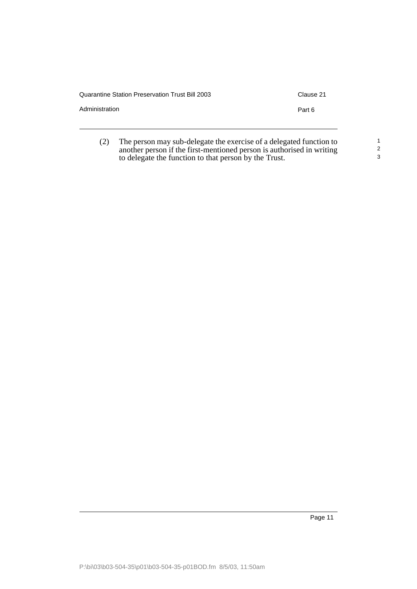| <b>Quarantine Station Preservation Trust Bill 2003</b> | Clause 21 |
|--------------------------------------------------------|-----------|
| Administration                                         | Part 6    |
|                                                        |           |
|                                                        |           |

(2) The person may sub-delegate the exercise of a delegated function to another person if the first-mentioned person is authorised in writing to delegate the function to that person by the Trust. 1 2 3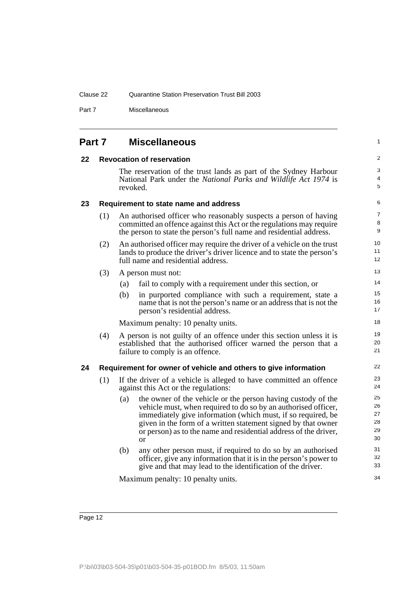Part 7 Miscellaneous

<span id="page-17-3"></span><span id="page-17-2"></span><span id="page-17-1"></span><span id="page-17-0"></span>

| Part 7 |     |          | <b>Miscellaneous</b>                                                                                                                                                                                                                                                                                                                      | 1                                |
|--------|-----|----------|-------------------------------------------------------------------------------------------------------------------------------------------------------------------------------------------------------------------------------------------------------------------------------------------------------------------------------------------|----------------------------------|
| 22     |     |          | <b>Revocation of reservation</b>                                                                                                                                                                                                                                                                                                          | $\overline{c}$                   |
|        |     | revoked. | The reservation of the trust lands as part of the Sydney Harbour<br>National Park under the National Parks and Wildlife Act 1974 is                                                                                                                                                                                                       | 3<br>4<br>5                      |
| 23     |     |          | Requirement to state name and address                                                                                                                                                                                                                                                                                                     | 6                                |
|        | (1) |          | An authorised officer who reasonably suspects a person of having<br>committed an offence against this Act or the regulations may require<br>the person to state the person's full name and residential address.                                                                                                                           | 7<br>8<br>9                      |
|        | (2) |          | An authorised officer may require the driver of a vehicle on the trust<br>lands to produce the driver's driver licence and to state the person's<br>full name and residential address.                                                                                                                                                    | 10<br>11<br>12                   |
|        | (3) |          | A person must not:                                                                                                                                                                                                                                                                                                                        | 13                               |
|        |     | (a)      | fail to comply with a requirement under this section, or                                                                                                                                                                                                                                                                                  | 14                               |
|        |     | (b)      | in purported compliance with such a requirement, state a<br>name that is not the person's name or an address that is not the<br>person's residential address.                                                                                                                                                                             | 15<br>16<br>17                   |
|        |     |          | Maximum penalty: 10 penalty units.                                                                                                                                                                                                                                                                                                        | 18                               |
|        | (4) |          | A person is not guilty of an offence under this section unless it is<br>established that the authorised officer warned the person that a<br>failure to comply is an offence.                                                                                                                                                              | 19<br>20<br>21                   |
| 24     |     |          | Requirement for owner of vehicle and others to give information                                                                                                                                                                                                                                                                           | 22                               |
|        | (1) |          | If the driver of a vehicle is alleged to have committed an offence<br>against this Act or the regulations:                                                                                                                                                                                                                                | 23<br>24                         |
|        |     | (a)      | the owner of the vehicle or the person having custody of the<br>vehicle must, when required to do so by an authorised officer,<br>immediately give information (which must, if so required, be<br>given in the form of a written statement signed by that owner<br>or person) as to the name and residential address of the driver,<br>or | 25<br>26<br>27<br>28<br>29<br>30 |
|        |     | (b)      | any other person must, if required to do so by an authorised<br>officer, give any information that it is in the person's power to<br>give and that may lead to the identification of the driver.                                                                                                                                          | 31<br>32<br>33                   |
|        |     |          | Maximum penalty: 10 penalty units.                                                                                                                                                                                                                                                                                                        | 34                               |
|        |     |          |                                                                                                                                                                                                                                                                                                                                           |                                  |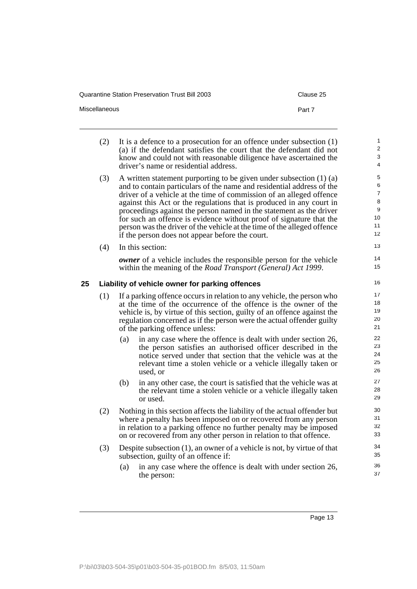| Quarantine Station Preservation Trust Bill 2003 | Clause 25 |
|-------------------------------------------------|-----------|
| Miscellaneous                                   | Part 7    |

<span id="page-18-0"></span>

|    | (2) |     | It is a defence to a prosecution for an offence under subsection $(1)$<br>(a) if the defendant satisfies the court that the defendant did not<br>know and could not with reasonable diligence have ascertained the<br>driver's name or residential address.                                                                                                                                                                                                                                                                                                                 | $\mathbf{1}$<br>$\overline{2}$<br>3<br>4                          |
|----|-----|-----|-----------------------------------------------------------------------------------------------------------------------------------------------------------------------------------------------------------------------------------------------------------------------------------------------------------------------------------------------------------------------------------------------------------------------------------------------------------------------------------------------------------------------------------------------------------------------------|-------------------------------------------------------------------|
|    | (3) |     | A written statement purporting to be given under subsection $(1)$ $(a)$<br>and to contain particulars of the name and residential address of the<br>driver of a vehicle at the time of commission of an alleged offence<br>against this Act or the regulations that is produced in any court in<br>proceedings against the person named in the statement as the driver<br>for such an offence is evidence without proof of signature that the<br>person was the driver of the vehicle at the time of the alleged offence<br>if the person does not appear before the court. | 5<br>6<br>$\overline{7}$<br>8<br>9<br>10 <sup>1</sup><br>11<br>12 |
|    | (4) |     | In this section:                                                                                                                                                                                                                                                                                                                                                                                                                                                                                                                                                            | 13                                                                |
|    |     |     | <b><i>owner</i></b> of a vehicle includes the responsible person for the vehicle<br>within the meaning of the <i>Road Transport</i> ( <i>General</i> ) Act 1999.                                                                                                                                                                                                                                                                                                                                                                                                            | 14<br>15                                                          |
| 25 |     |     | Liability of vehicle owner for parking offences                                                                                                                                                                                                                                                                                                                                                                                                                                                                                                                             | 16                                                                |
|    | (1) |     | If a parking offence occurs in relation to any vehicle, the person who<br>at the time of the occurrence of the offence is the owner of the<br>vehicle is, by virtue of this section, guilty of an offence against the<br>regulation concerned as if the person were the actual offender guilty<br>of the parking offence unless:                                                                                                                                                                                                                                            | 17<br>18<br>19<br>20<br>21                                        |
|    |     | (a) | in any case where the offence is dealt with under section 26,<br>the person satisfies an authorised officer described in the<br>notice served under that section that the vehicle was at the<br>relevant time a stolen vehicle or a vehicle illegally taken or<br>used, or                                                                                                                                                                                                                                                                                                  | 22<br>23<br>24<br>25<br>26                                        |
|    |     | (b) | in any other case, the court is satisfied that the vehicle was at<br>the relevant time a stolen vehicle or a vehicle illegally taken<br>or used.                                                                                                                                                                                                                                                                                                                                                                                                                            | 27<br>28<br>29                                                    |
|    | (2) |     | Nothing in this section affects the liability of the actual offender but<br>where a penalty has been imposed on or recovered from any person<br>in relation to a parking offence no further penalty may be imposed<br>on or recovered from any other person in relation to that offence.                                                                                                                                                                                                                                                                                    | 30<br>31<br>32<br>33                                              |
|    | (3) |     | Despite subsection $(1)$ , an owner of a vehicle is not, by virtue of that<br>subsection, guilty of an offence if:                                                                                                                                                                                                                                                                                                                                                                                                                                                          | 34<br>35                                                          |
|    |     | (a) | in any case where the offence is dealt with under section 26,<br>the person:                                                                                                                                                                                                                                                                                                                                                                                                                                                                                                | 36<br>37                                                          |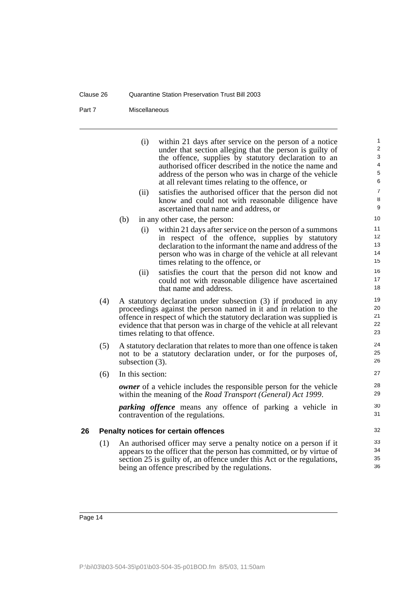#### Clause 26 Quarantine Station Preservation Trust Bill 2003

#### Part 7 Miscellaneous

<span id="page-19-0"></span>

|    |     | within 21 days after service on the person of a notice<br>(i)<br>under that section alleging that the person is guilty of<br>the offence, supplies by statutory declaration to an<br>authorised officer described in the notice the name and<br>address of the person who was in charge of the vehicle<br>at all relevant times relating to the offence, or<br>satisfies the authorised officer that the person did not<br>(ii)<br>know and could not with reasonable diligence have<br>ascertained that name and address, or | $\mathbf{1}$<br>$\overline{2}$<br>3<br>4<br>5<br>6<br>$\overline{7}$<br>8<br>9 |
|----|-----|-------------------------------------------------------------------------------------------------------------------------------------------------------------------------------------------------------------------------------------------------------------------------------------------------------------------------------------------------------------------------------------------------------------------------------------------------------------------------------------------------------------------------------|--------------------------------------------------------------------------------|
|    |     | (b)<br>in any other case, the person:                                                                                                                                                                                                                                                                                                                                                                                                                                                                                         | 10                                                                             |
|    |     | within 21 days after service on the person of a summons<br>(i)<br>in respect of the offence, supplies by statutory<br>declaration to the informant the name and address of the<br>person who was in charge of the vehicle at all relevant<br>times relating to the offence, or                                                                                                                                                                                                                                                | 11<br>12 <sup>°</sup><br>13<br>14<br>15                                        |
|    |     | satisfies the court that the person did not know and<br>(ii)<br>could not with reasonable diligence have ascertained<br>that name and address.                                                                                                                                                                                                                                                                                                                                                                                | 16<br>17<br>18                                                                 |
|    | (4) | A statutory declaration under subsection (3) if produced in any<br>proceedings against the person named in it and in relation to the<br>offence in respect of which the statutory declaration was supplied is<br>evidence that that person was in charge of the vehicle at all relevant<br>times relating to that offence.                                                                                                                                                                                                    | 19<br>20<br>21<br>22<br>23                                                     |
|    | (5) | A statutory declaration that relates to more than one offence is taken<br>not to be a statutory declaration under, or for the purposes of,<br>subsection (3).                                                                                                                                                                                                                                                                                                                                                                 | 24<br>25<br>26                                                                 |
|    | (6) | In this section:                                                                                                                                                                                                                                                                                                                                                                                                                                                                                                              | 27                                                                             |
|    |     | <b><i>owner</i></b> of a vehicle includes the responsible person for the vehicle<br>within the meaning of the Road Transport (General) Act 1999.                                                                                                                                                                                                                                                                                                                                                                              | 28<br>29                                                                       |
|    |     | <i>parking offence</i> means any offence of parking a vehicle in<br>contravention of the regulations.                                                                                                                                                                                                                                                                                                                                                                                                                         | 30<br>31                                                                       |
| 26 |     | Penalty notices for certain offences                                                                                                                                                                                                                                                                                                                                                                                                                                                                                          | 32                                                                             |
|    | (1) | An authorised officer may serve a penalty notice on a person if it<br>appears to the officer that the person has committed, or by virtue of<br>section 25 is guilty of, an offence under this Act or the regulations,<br>being an offence prescribed by the regulations.                                                                                                                                                                                                                                                      | 33<br>34<br>35<br>36                                                           |
|    |     |                                                                                                                                                                                                                                                                                                                                                                                                                                                                                                                               |                                                                                |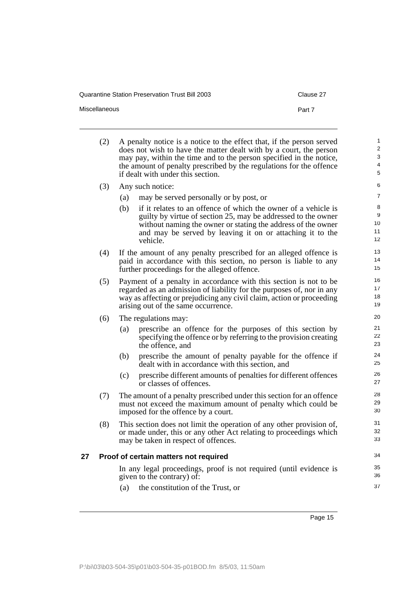| <b>Quarantine Station Preservation Trust Bill 2003</b> | Clause 27 |
|--------------------------------------------------------|-----------|
| <b>Miscellaneous</b>                                   | Part 7    |

<span id="page-20-0"></span>

|    | (2) |     | A penalty notice is a notice to the effect that, if the person served<br>does not wish to have the matter dealt with by a court, the person<br>may pay, within the time and to the person specified in the notice,<br>the amount of penalty prescribed by the regulations for the offence<br>if dealt with under this section. | $\mathbf{1}$<br>2<br>3<br>$\overline{\mathbf{4}}$<br>5 |
|----|-----|-----|--------------------------------------------------------------------------------------------------------------------------------------------------------------------------------------------------------------------------------------------------------------------------------------------------------------------------------|--------------------------------------------------------|
|    | (3) |     | Any such notice:                                                                                                                                                                                                                                                                                                               | 6                                                      |
|    |     | (a) | may be served personally or by post, or                                                                                                                                                                                                                                                                                        | $\overline{7}$                                         |
|    |     | (b) | if it relates to an offence of which the owner of a vehicle is                                                                                                                                                                                                                                                                 | 8<br>9                                                 |
|    |     |     | guilty by virtue of section 25, may be addressed to the owner<br>without naming the owner or stating the address of the owner                                                                                                                                                                                                  | 10                                                     |
|    |     |     | and may be served by leaving it on or attaching it to the<br>vehicle.                                                                                                                                                                                                                                                          | 11<br>12                                               |
|    | (4) |     | If the amount of any penalty prescribed for an alleged offence is                                                                                                                                                                                                                                                              | 13                                                     |
|    |     |     | paid in accordance with this section, no person is liable to any<br>further proceedings for the alleged offence.                                                                                                                                                                                                               | 14<br>15                                               |
|    | (5) |     | Payment of a penalty in accordance with this section is not to be                                                                                                                                                                                                                                                              | 16<br>17                                               |
|    |     |     | regarded as an admission of liability for the purposes of, nor in any<br>way as affecting or prejudicing any civil claim, action or proceeding                                                                                                                                                                                 | 18                                                     |
|    |     |     | arising out of the same occurrence.                                                                                                                                                                                                                                                                                            | 19                                                     |
|    | (6) |     | The regulations may:                                                                                                                                                                                                                                                                                                           | 20                                                     |
|    |     | (a) | prescribe an offence for the purposes of this section by                                                                                                                                                                                                                                                                       | 21<br>22                                               |
|    |     |     | specifying the offence or by referring to the provision creating<br>the offence, and                                                                                                                                                                                                                                           | 23                                                     |
|    |     | (b) | prescribe the amount of penalty payable for the offence if<br>dealt with in accordance with this section, and                                                                                                                                                                                                                  | 24<br>25                                               |
|    |     | (c) | prescribe different amounts of penalties for different offences<br>or classes of offences.                                                                                                                                                                                                                                     | 26<br>27                                               |
|    | (7) |     | The amount of a penalty prescribed under this section for an offence                                                                                                                                                                                                                                                           | 28                                                     |
|    |     |     | must not exceed the maximum amount of penalty which could be<br>imposed for the offence by a court.                                                                                                                                                                                                                            | 29<br>30                                               |
|    | (8) |     | This section does not limit the operation of any other provision of,                                                                                                                                                                                                                                                           | 31                                                     |
|    |     |     | or made under, this or any other Act relating to proceedings which                                                                                                                                                                                                                                                             | 32                                                     |
|    |     |     | may be taken in respect of offences.                                                                                                                                                                                                                                                                                           | 33                                                     |
| 27 |     |     | Proof of certain matters not required                                                                                                                                                                                                                                                                                          | 34                                                     |
|    |     |     | In any legal proceedings, proof is not required (until evidence is                                                                                                                                                                                                                                                             | 35                                                     |
|    |     |     | given to the contrary) of:                                                                                                                                                                                                                                                                                                     | 36                                                     |
|    |     | (a) | the constitution of the Trust, or                                                                                                                                                                                                                                                                                              | 37                                                     |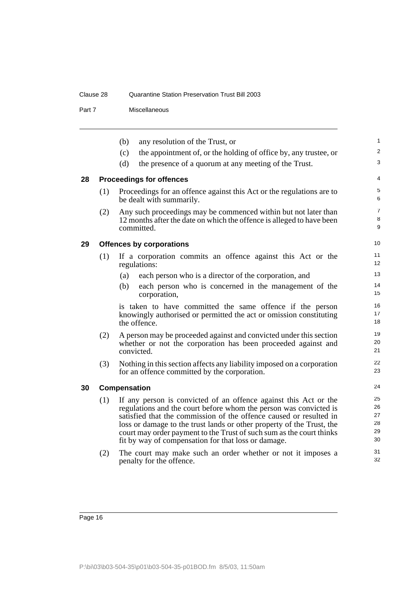#### Clause 28 Quarantine Station Preservation Trust Bill 2003

#### Part 7 Miscellaneous

<span id="page-21-2"></span><span id="page-21-1"></span><span id="page-21-0"></span>

|    |     | (b)<br>any resolution of the Trust, or                                                                                                                                                                                                                                                                                                                                                                              | $\mathbf{1}$                     |
|----|-----|---------------------------------------------------------------------------------------------------------------------------------------------------------------------------------------------------------------------------------------------------------------------------------------------------------------------------------------------------------------------------------------------------------------------|----------------------------------|
|    |     | the appointment of, or the holding of office by, any trustee, or<br>(c)                                                                                                                                                                                                                                                                                                                                             | $\overline{c}$                   |
|    |     | (d)<br>the presence of a quorum at any meeting of the Trust.                                                                                                                                                                                                                                                                                                                                                        | 3                                |
| 28 |     | <b>Proceedings for offences</b>                                                                                                                                                                                                                                                                                                                                                                                     | 4                                |
|    | (1) | Proceedings for an offence against this Act or the regulations are to<br>be dealt with summarily.                                                                                                                                                                                                                                                                                                                   | 5<br>6                           |
|    | (2) | Any such proceedings may be commenced within but not later than<br>12 months after the date on which the offence is alleged to have been<br>committed.                                                                                                                                                                                                                                                              | $\overline{7}$<br>8<br>9         |
| 29 |     | <b>Offences by corporations</b>                                                                                                                                                                                                                                                                                                                                                                                     | 10 <sup>1</sup>                  |
|    | (1) | If a corporation commits an offence against this Act or the<br>regulations:                                                                                                                                                                                                                                                                                                                                         | 11<br>12 <sup>2</sup>            |
|    |     | each person who is a director of the corporation, and<br>(a)                                                                                                                                                                                                                                                                                                                                                        | 13                               |
|    |     | each person who is concerned in the management of the<br>(b)<br>corporation,                                                                                                                                                                                                                                                                                                                                        | 14<br>15                         |
|    |     | is taken to have committed the same offence if the person<br>knowingly authorised or permitted the act or omission constituting<br>the offence.                                                                                                                                                                                                                                                                     | 16<br>17<br>18                   |
|    | (2) | A person may be proceeded against and convicted under this section<br>whether or not the corporation has been proceeded against and<br>convicted.                                                                                                                                                                                                                                                                   | 19<br>20<br>21                   |
|    | (3) | Nothing in this section affects any liability imposed on a corporation<br>for an offence committed by the corporation.                                                                                                                                                                                                                                                                                              | 22<br>23                         |
| 30 |     | Compensation                                                                                                                                                                                                                                                                                                                                                                                                        | 24                               |
|    | (1) | If any person is convicted of an offence against this Act or the<br>regulations and the court before whom the person was convicted is<br>satisfied that the commission of the offence caused or resulted in<br>loss or damage to the trust lands or other property of the Trust, the<br>court may order payment to the Trust of such sum as the court thinks<br>fit by way of compensation for that loss or damage. | 25<br>26<br>27<br>28<br>29<br>30 |
|    | (2) | The court may make such an order whether or not it imposes a<br>penalty for the offence.                                                                                                                                                                                                                                                                                                                            | 31<br>32                         |
|    |     |                                                                                                                                                                                                                                                                                                                                                                                                                     |                                  |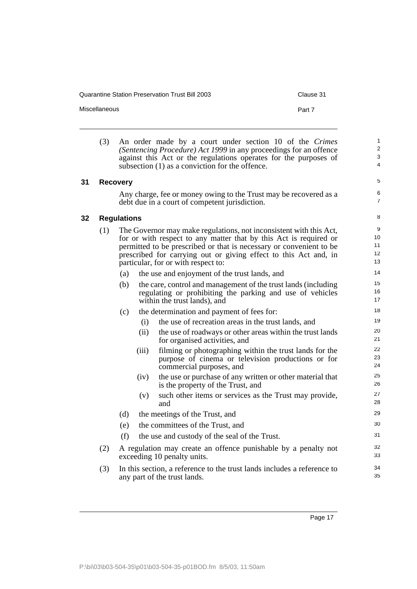Miscellaneous **Part 7** 

5 6 7

(3) An order made by a court under section 10 of the *Crimes (Sentencing Procedure) Act 1999* in any proceedings for an offence against this Act or the regulations operates for the purposes of subsection (1) as a conviction for the offence.

#### <span id="page-22-0"></span>**31 Recovery**

Any charge, fee or money owing to the Trust may be recovered as a debt due in a court of competent jurisdiction.

<span id="page-22-1"></span>**32 Regulations**

|     | <b>Regulations</b> |       |                                                                                                                                                                                                                                                                                                                           | 8                         |
|-----|--------------------|-------|---------------------------------------------------------------------------------------------------------------------------------------------------------------------------------------------------------------------------------------------------------------------------------------------------------------------------|---------------------------|
| (1) |                    |       | The Governor may make regulations, not inconsistent with this Act,<br>for or with respect to any matter that by this Act is required or<br>permitted to be prescribed or that is necessary or convenient to be<br>prescribed for carrying out or giving effect to this Act and, in<br>particular, for or with respect to: | 9<br>10<br>11<br>12<br>13 |
|     | (a)                |       | the use and enjoyment of the trust lands, and                                                                                                                                                                                                                                                                             | 14                        |
|     | (b)                |       | the care, control and management of the trust lands (including<br>regulating or prohibiting the parking and use of vehicles<br>within the trust lands), and                                                                                                                                                               | 15<br>16<br>17            |
|     | (c)                |       | the determination and payment of fees for:                                                                                                                                                                                                                                                                                | 18                        |
|     |                    | (i)   | the use of recreation areas in the trust lands, and                                                                                                                                                                                                                                                                       | 19                        |
|     |                    | (ii)  | the use of roadways or other areas within the trust lands<br>for organised activities, and                                                                                                                                                                                                                                | 20<br>21                  |
|     |                    | (iii) | filming or photographing within the trust lands for the<br>purpose of cinema or television productions or for<br>commercial purposes, and                                                                                                                                                                                 | 22<br>23<br>24            |
|     |                    | (iv)  | the use or purchase of any written or other material that<br>is the property of the Trust, and                                                                                                                                                                                                                            | 25<br>26                  |
|     |                    | (v)   | such other items or services as the Trust may provide,<br>and                                                                                                                                                                                                                                                             | 27<br>28                  |
|     | (d)                |       | the meetings of the Trust, and                                                                                                                                                                                                                                                                                            | 29                        |
|     | (e)                |       | the committees of the Trust, and                                                                                                                                                                                                                                                                                          | 30                        |
|     | (f)                |       | the use and custody of the seal of the Trust.                                                                                                                                                                                                                                                                             | 31                        |
| (2) |                    |       | A regulation may create an offence punishable by a penalty not<br>exceeding 10 penalty units.                                                                                                                                                                                                                             | 32<br>33                  |
| (3) |                    |       | In this section, a reference to the trust lands includes a reference to<br>any part of the trust lands.                                                                                                                                                                                                                   | 34<br>35                  |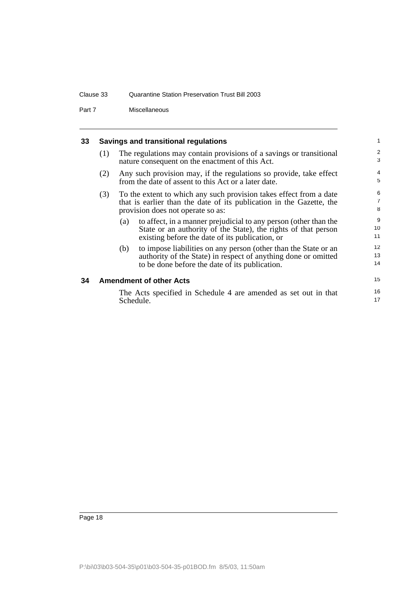#### Clause 33 Quarantine Station Preservation Trust Bill 2003

Part 7 Miscellaneous

#### <span id="page-23-0"></span>**33 Savings and transitional regulations**

| (1) | The regulations may contain provisions of a savings or transitional<br>nature consequent on the enactment of this Act. |
|-----|------------------------------------------------------------------------------------------------------------------------|
|     |                                                                                                                        |

15 16 17

- (2) Any such provision may, if the regulations so provide, take effect from the date of assent to this Act or a later date.
- (3) To the extent to which any such provision takes effect from a date that is earlier than the date of its publication in the Gazette, the provision does not operate so as:
	- (a) to affect, in a manner prejudicial to any person (other than the State or an authority of the State), the rights of that person existing before the date of its publication, or
	- (b) to impose liabilities on any person (other than the State or an authority of the State) in respect of anything done or omitted to be done before the date of its publication.

#### <span id="page-23-1"></span>**34 Amendment of other Acts**

The Acts specified in Schedule 4 are amended as set out in that Schedule.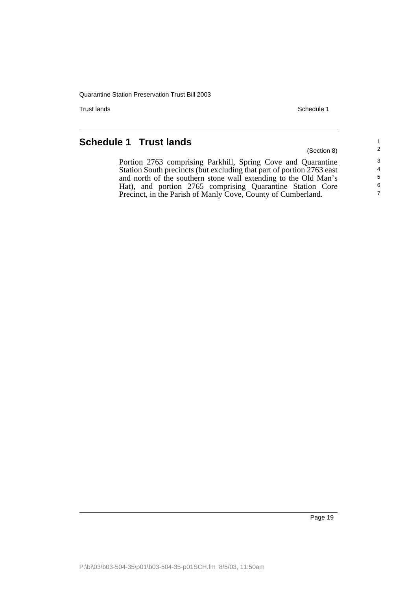Trust lands Schedule 1

(Section 8)

## <span id="page-24-0"></span>**Schedule 1 Trust lands**

Portion 2763 comprising Parkhill, Spring Cove and Quarantine Station South precincts (but excluding that part of portion 2763 east and north of the southern stone wall extending to the Old Man's Hat), and portion 2765 comprising Quarantine Station Core Precinct, in the Parish of Manly Cove, County of Cumberland.

> 6 7

1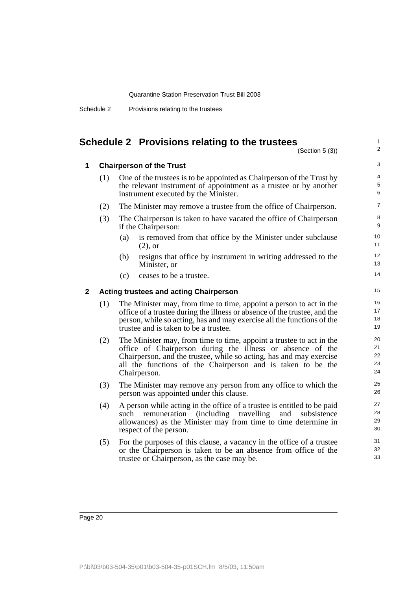| Schedule 2 | Provisions relating to the trustees |  |
|------------|-------------------------------------|--|
|            |                                     |  |

#### <span id="page-25-0"></span>**Schedule 2 Provisions relating to the trustees**

(Section 5 (3))

1 2

#### **1 Chairperson of the Trust**

| (1) | One of the trustees is to be appointed as Chairperson of the Trust by |
|-----|-----------------------------------------------------------------------|
|     | the relevant instrument of appointment as a trustee or by another     |
|     | instrument executed by the Minister.                                  |
|     |                                                                       |

(2) The Minister may remove a trustee from the office of Chairperson.

- (3) The Chairperson is taken to have vacated the office of Chairperson if the Chairperson:
	- (a) is removed from that office by the Minister under subclause (2), or
	- (b) resigns that office by instrument in writing addressed to the Minister, or
	- (c) ceases to be a trustee.

#### **2 Acting trustees and acting Chairperson**

- (1) The Minister may, from time to time, appoint a person to act in the office of a trustee during the illness or absence of the trustee, and the person, while so acting, has and may exercise all the functions of the trustee and is taken to be a trustee.
- (2) The Minister may, from time to time, appoint a trustee to act in the office of Chairperson during the illness or absence of the Chairperson, and the trustee, while so acting, has and may exercise all the functions of the Chairperson and is taken to be the Chairperson.
- (3) The Minister may remove any person from any office to which the person was appointed under this clause.
- (4) A person while acting in the office of a trustee is entitled to be paid such remuneration (including travelling and subsistence allowances) as the Minister may from time to time determine in respect of the person.
- (5) For the purposes of this clause, a vacancy in the office of a trustee or the Chairperson is taken to be an absence from office of the trustee or Chairperson, as the case may be.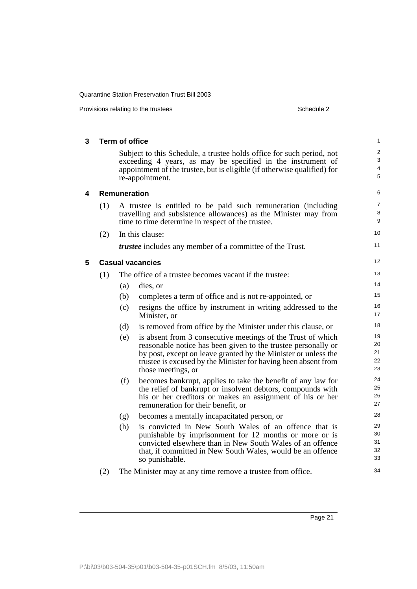Provisions relating to the trustees Schedule 2

| 3 |     | <b>Term of office</b> |                                                                                                                                                                                                                  | $\mathbf{1}$             |
|---|-----|-----------------------|------------------------------------------------------------------------------------------------------------------------------------------------------------------------------------------------------------------|--------------------------|
|   |     |                       | Subject to this Schedule, a trustee holds office for such period, not<br>exceeding 4 years, as may be specified in the instrument of<br>appointment of the trustee, but is eligible (if otherwise qualified) for | $\overline{2}$<br>3<br>4 |
|   |     |                       | re-appointment.                                                                                                                                                                                                  | 5                        |
| 4 |     | <b>Remuneration</b>   |                                                                                                                                                                                                                  | 6                        |
|   | (1) |                       | A trustee is entitled to be paid such remuneration (including<br>travelling and subsistence allowances) as the Minister may from<br>time to time determine in respect of the trustee.                            | $\overline{7}$<br>8<br>9 |
|   | (2) |                       | In this clause:                                                                                                                                                                                                  | 10                       |
|   |     |                       | <i>trustee</i> includes any member of a committee of the Trust.                                                                                                                                                  | 11                       |
| 5 |     |                       | <b>Casual vacancies</b>                                                                                                                                                                                          | 12                       |
|   | (1) |                       | The office of a trustee becomes vacant if the trustee:                                                                                                                                                           | 13                       |
|   |     | (a)                   | dies, or                                                                                                                                                                                                         | 14                       |
|   |     | (b)                   | completes a term of office and is not re-appointed, or                                                                                                                                                           | 15                       |
|   |     | (c)                   | resigns the office by instrument in writing addressed to the<br>Minister, or                                                                                                                                     | 16<br>17                 |
|   |     | (d)                   | is removed from office by the Minister under this clause, or                                                                                                                                                     | 18                       |
|   |     | (e)                   | is absent from 3 consecutive meetings of the Trust of which                                                                                                                                                      | 19                       |
|   |     |                       | reasonable notice has been given to the trustee personally or                                                                                                                                                    | 20<br>21                 |
|   |     |                       | by post, except on leave granted by the Minister or unless the<br>trustee is excused by the Minister for having been absent from                                                                                 | 22                       |
|   |     |                       | those meetings, or                                                                                                                                                                                               | 23                       |
|   |     | (f)                   | becomes bankrupt, applies to take the benefit of any law for                                                                                                                                                     | 24                       |
|   |     |                       | the relief of bankrupt or insolvent debtors, compounds with                                                                                                                                                      | 25<br>26                 |
|   |     |                       | his or her creditors or makes an assignment of his or her<br>remuneration for their benefit, or                                                                                                                  | 27                       |
|   |     | (g)                   | becomes a mentally incapacitated person, or                                                                                                                                                                      | 28                       |
|   |     | (h)                   | is convicted in New South Wales of an offence that is                                                                                                                                                            | 29                       |
|   |     |                       | punishable by imprisonment for 12 months or more or is                                                                                                                                                           | 30<br>31                 |
|   |     |                       | convicted elsewhere than in New South Wales of an offence<br>that, if committed in New South Wales, would be an offence                                                                                          | 32                       |
|   |     |                       | so punishable.                                                                                                                                                                                                   | 33                       |
|   | (2) |                       | The Minister may at any time remove a trustee from office.                                                                                                                                                       | 34                       |
|   |     |                       |                                                                                                                                                                                                                  |                          |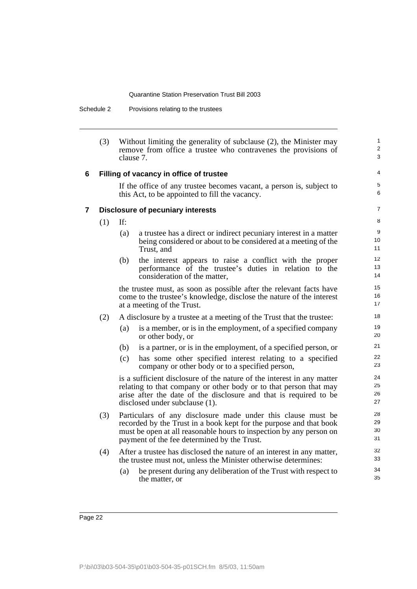Schedule 2 Provisions relating to the trustees

|   | (3) | clause 7. | Without limiting the generality of subclause (2), the Minister may<br>remove from office a trustee who contravenes the provisions of                                                                                                                     | $\mathbf{1}$<br>$\overline{2}$<br>3 |
|---|-----|-----------|----------------------------------------------------------------------------------------------------------------------------------------------------------------------------------------------------------------------------------------------------------|-------------------------------------|
| 6 |     |           | Filling of vacancy in office of trustee                                                                                                                                                                                                                  | 4                                   |
|   |     |           | If the office of any trustee becomes vacant, a person is, subject to<br>this Act, to be appointed to fill the vacancy.                                                                                                                                   | 5<br>6                              |
| 7 |     |           | <b>Disclosure of pecuniary interests</b>                                                                                                                                                                                                                 | $\overline{7}$                      |
|   | (1) | If:       |                                                                                                                                                                                                                                                          | 8                                   |
|   |     | (a)       | a trustee has a direct or indirect pecuniary interest in a matter<br>being considered or about to be considered at a meeting of the<br>Trust, and                                                                                                        | 9<br>10 <sup>1</sup><br>11          |
|   |     | (b)       | the interest appears to raise a conflict with the proper<br>performance of the trustee's duties in relation to the<br>consideration of the matter,                                                                                                       | 12<br>13<br>14                      |
|   |     |           | the trustee must, as soon as possible after the relevant facts have<br>come to the trustee's knowledge, disclose the nature of the interest<br>at a meeting of the Trust.                                                                                | 15<br>16<br>17                      |
|   | (2) |           | A disclosure by a trustee at a meeting of the Trust that the trustee:                                                                                                                                                                                    | 18                                  |
|   |     | (a)       | is a member, or is in the employment, of a specified company<br>or other body, or                                                                                                                                                                        | 19<br>20                            |
|   |     | (b)       | is a partner, or is in the employment, of a specified person, or                                                                                                                                                                                         | 21                                  |
|   |     | (c)       | has some other specified interest relating to a specified<br>company or other body or to a specified person,                                                                                                                                             | 22<br>23                            |
|   |     |           | is a sufficient disclosure of the nature of the interest in any matter<br>relating to that company or other body or to that person that may<br>arise after the date of the disclosure and that is required to be<br>disclosed under subclause (1).       | 24<br>25<br>26<br>27                |
|   | (3) |           | Particulars of any disclosure made under this clause must be<br>recorded by the Trust in a book kept for the purpose and that book<br>must be open at all reasonable hours to inspection by any person on<br>payment of the fee determined by the Trust. | 28<br>29<br>30<br>31                |
|   | (4) |           | After a trustee has disclosed the nature of an interest in any matter,<br>the trustee must not, unless the Minister otherwise determines:                                                                                                                | 32<br>33                            |
|   |     | (a)       | be present during any deliberation of the Trust with respect to<br>the matter, or                                                                                                                                                                        | 34<br>35                            |
|   |     |           |                                                                                                                                                                                                                                                          |                                     |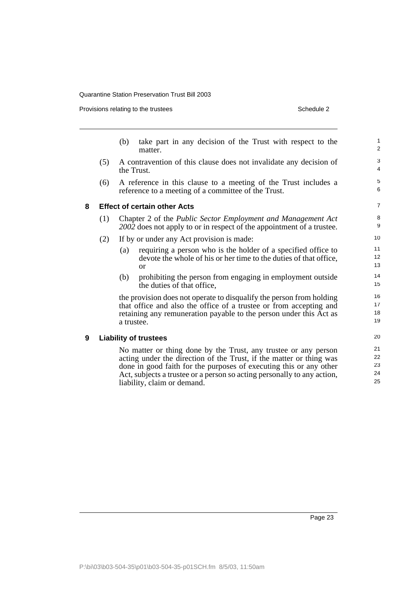Provisions relating to the trustees

| Schedule 2 |  |
|------------|--|
|            |  |

|     | take part in any decision of the Trust with respect to the<br>(b)<br>matter.                                                                                                                                                                                                                                           | $\mathbf{1}$<br>$\overline{2}$                                      |
|-----|------------------------------------------------------------------------------------------------------------------------------------------------------------------------------------------------------------------------------------------------------------------------------------------------------------------------|---------------------------------------------------------------------|
| (5) | A contravention of this clause does not invalidate any decision of<br>the Trust.                                                                                                                                                                                                                                       | 3<br>4                                                              |
| (6) | A reference in this clause to a meeting of the Trust includes a<br>reference to a meeting of a committee of the Trust.                                                                                                                                                                                                 | 5<br>6                                                              |
|     |                                                                                                                                                                                                                                                                                                                        | $\overline{7}$                                                      |
| (1) | Chapter 2 of the <i>Public Sector Employment and Management Act</i><br>2002 does not apply to or in respect of the appointment of a trustee.                                                                                                                                                                           | 8<br>9                                                              |
| (2) | If by or under any Act provision is made:                                                                                                                                                                                                                                                                              | 10                                                                  |
|     | requiring a person who is the holder of a specified office to<br>(a)<br>devote the whole of his or her time to the duties of that office,<br>or                                                                                                                                                                        | 11<br>12<br>13                                                      |
|     | (b)<br>prohibiting the person from engaging in employment outside<br>the duties of that office,                                                                                                                                                                                                                        | 14<br>15                                                            |
|     | the provision does not operate to disqualify the person from holding<br>that office and also the office of a trustee or from accepting and<br>retaining any remuneration payable to the person under this Act as<br>a trustee.                                                                                         | 16<br>17<br>18<br>19                                                |
|     |                                                                                                                                                                                                                                                                                                                        | 20                                                                  |
|     | No matter or thing done by the Trust, any trustee or any person<br>acting under the direction of the Trust, if the matter or thing was<br>done in good faith for the purposes of executing this or any other<br>Act, subjects a trustee or a person so acting personally to any action,<br>liability, claim or demand. | 21<br>22<br>23<br>24<br>25                                          |
|     |                                                                                                                                                                                                                                                                                                                        | <b>Effect of certain other Acts</b><br><b>Liability of trustees</b> |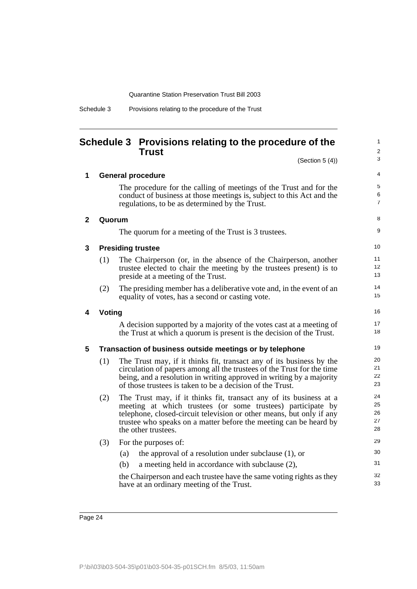| Schedule 3 | Provisions relating to the procedure of the Trust |  |  |  |
|------------|---------------------------------------------------|--|--|--|
|            |                                                   |  |  |  |

#### <span id="page-29-0"></span>**Schedule 3 Provisions relating to the procedure of the Trust**

1

|              |        | Trust                                                                                                                                                                                                                                                                                                 | $\overline{2}$             |
|--------------|--------|-------------------------------------------------------------------------------------------------------------------------------------------------------------------------------------------------------------------------------------------------------------------------------------------------------|----------------------------|
|              |        | (Section $5(4)$ )                                                                                                                                                                                                                                                                                     | 3                          |
| 1            |        | <b>General procedure</b>                                                                                                                                                                                                                                                                              | 4                          |
|              |        | The procedure for the calling of meetings of the Trust and for the<br>conduct of business at those meetings is, subject to this Act and the<br>regulations, to be as determined by the Trust.                                                                                                         | 5<br>6<br>$\overline{7}$   |
| $\mathbf{2}$ | Quorum |                                                                                                                                                                                                                                                                                                       | 8                          |
|              |        | The quorum for a meeting of the Trust is 3 trustees.                                                                                                                                                                                                                                                  | 9                          |
| 3            |        | <b>Presiding trustee</b>                                                                                                                                                                                                                                                                              | 10                         |
|              | (1)    | The Chairperson (or, in the absence of the Chairperson, another<br>trustee elected to chair the meeting by the trustees present) is to<br>preside at a meeting of the Trust.                                                                                                                          | 11<br>12<br>13             |
|              | (2)    | The presiding member has a deliberative vote and, in the event of an<br>equality of votes, has a second or casting vote.                                                                                                                                                                              | 14<br>15                   |
| 4            | Voting |                                                                                                                                                                                                                                                                                                       | 16                         |
|              |        | A decision supported by a majority of the votes cast at a meeting of<br>the Trust at which a quorum is present is the decision of the Trust.                                                                                                                                                          | 17<br>18                   |
| 5            |        | Transaction of business outside meetings or by telephone                                                                                                                                                                                                                                              | 19                         |
|              | (1)    | The Trust may, if it thinks fit, transact any of its business by the<br>circulation of papers among all the trustees of the Trust for the time<br>being, and a resolution in writing approved in writing by a majority<br>of those trustees is taken to be a decision of the Trust.                   | 20<br>21<br>22<br>23       |
|              | (2)    | The Trust may, if it thinks fit, transact any of its business at a<br>meeting at which trustees (or some trustees) participate by<br>telephone, closed-circuit television or other means, but only if any<br>trustee who speaks on a matter before the meeting can be heard by<br>the other trustees. | 24<br>25<br>26<br>27<br>28 |
|              | (3)    | For the purposes of:                                                                                                                                                                                                                                                                                  | 29                         |
|              |        | the approval of a resolution under subclause $(1)$ , or<br>(a)<br>a meeting held in accordance with subclause (2),<br>(b)                                                                                                                                                                             | 30<br>31                   |
|              |        | the Chairperson and each trustee have the same voting rights as they<br>have at an ordinary meeting of the Trust.                                                                                                                                                                                     | 32<br>33                   |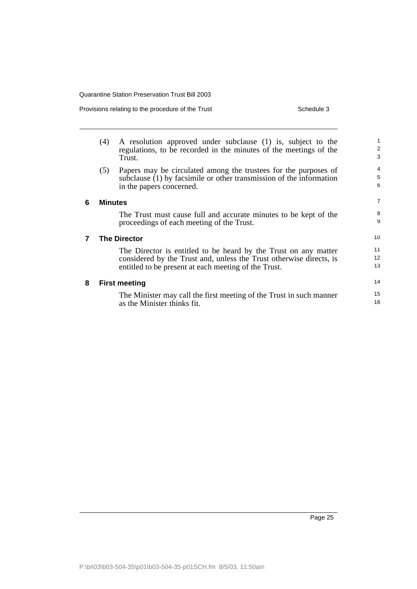Provisions relating to the procedure of the Trust Schedule 3

|   | (4)            | A resolution approved under subclause (1) is, subject to the<br>regulations, to be recorded in the minutes of the meetings of the<br>Trust.                                                    | 1<br>$\overline{2}$<br>3    |
|---|----------------|------------------------------------------------------------------------------------------------------------------------------------------------------------------------------------------------|-----------------------------|
|   | (5)            | Papers may be circulated among the trustees for the purposes of<br>subclause (1) by facsimile or other transmission of the information<br>in the papers concerned.                             | 4<br>5<br>6                 |
| 6 | <b>Minutes</b> |                                                                                                                                                                                                | $\overline{7}$              |
|   |                | The Trust must cause full and accurate minutes to be kept of the<br>proceedings of each meeting of the Trust.                                                                                  | 8<br>9                      |
| 7 |                | <b>The Director</b>                                                                                                                                                                            | 10 <sup>1</sup>             |
|   |                | The Director is entitled to be heard by the Trust on any matter<br>considered by the Trust and, unless the Trust otherwise directs, is<br>entitled to be present at each meeting of the Trust. | 11<br>12 <sup>2</sup><br>13 |
| 8 |                | <b>First meeting</b>                                                                                                                                                                           | 14                          |
|   |                | The Minister may call the first meeting of the Trust in such manner<br>as the Minister thinks fit.                                                                                             | 15<br>16                    |
|   |                |                                                                                                                                                                                                |                             |